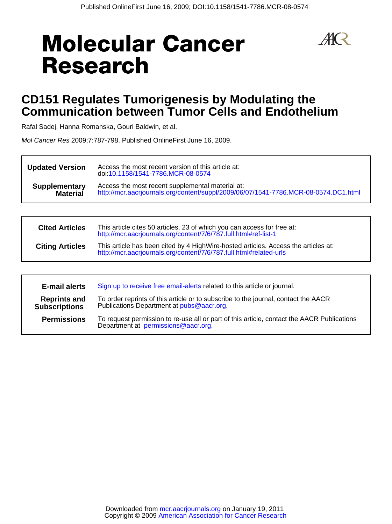# **Molecular Cancer Research**

$$
\mathscr{A}\!\!R
$$

# **Communication between Tumor Cells and Endothelium CD151 Regulates Tumorigenesis by Modulating the**

Rafal Sadej, Hanna Romanska, Gouri Baldwin, et al.

Mol Cancer Res 2009;7:787-798. Published OnlineFirst June 16, 2009.

| <b>Updated Version</b> | Access the most recent version of this article at:<br>doi:10.1158/1541-7786.MCR-08-0574 |
|------------------------|-----------------------------------------------------------------------------------------|
| <b>Supplementary</b>   | Access the most recent supplemental material at:                                        |
| <b>Material</b>        | http://mcr.aacrjournals.org/content/suppl/2009/06/07/1541-7786.MCR-08-0574.DC1.html     |

| <b>Cited Articles</b>  | This article cites 50 articles, 23 of which you can access for free at:<br>http://mcr.aacrjournals.org/content/7/6/787.full.html#ref-list-1              |  |
|------------------------|----------------------------------------------------------------------------------------------------------------------------------------------------------|--|
| <b>Citing Articles</b> | This article has been cited by 4 HighWire-hosted articles. Access the articles at:<br>http://mcr.aacrjournals.org/content/7/6/787.full.html#related-urls |  |

| <b>E-mail alerts</b>                        | Sign up to receive free email-alerts related to this article or journal.                                                         |  |
|---------------------------------------------|----------------------------------------------------------------------------------------------------------------------------------|--|
| <b>Reprints and</b><br><b>Subscriptions</b> | To order reprints of this article or to subscribe to the journal, contact the AACR<br>Publications Department at pubs@aacr.org.  |  |
| <b>Permissions</b>                          | To request permission to re-use all or part of this article, contact the AACR Publications<br>Department at permissions@aacr.org |  |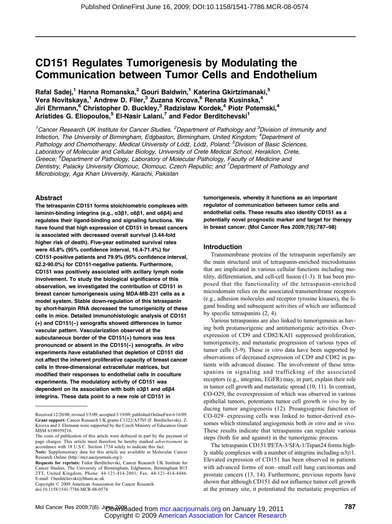# CD151 Regulates Tumorigenesis by Modulating the Communication between Tumor Cells and Endothelium

Rafal Sadej,<sup>1</sup> Hanna Romanska,<sup>2</sup> Gouri Baldwin,<sup>1</sup> Katerina Gkirtzimanaki,<sup>5</sup> Vera Novitskaya,<sup>1</sup> Andrew D. Filer,<sup>3</sup> Zuzana Krcova,<sup>6</sup> Renata Kusinska,<sup>4</sup> Jiri Ehrmann,<sup>6</sup> Christopher D. Buckley,<sup>3</sup> Radzisław Kordek,<sup>4</sup> Piotr Potemski,<sup>4</sup> Aristides G. Eliopoulos,  $5$  El-Nasir Lalani,  $7$  and Fedor Berditchevski $1$ 

<sup>1</sup> Cancer Research UK Institute for Cancer Studies, <sup>2</sup> Department of Pathology and <sup>3</sup> Division of Immunity and Infection, The University of Birmingham, Edgbaston, Birmingham, United Kingdom; <sup>4</sup>Department of Pathology and Chemotherapy, Medical University of Łódź, Łódź, Poland; <sup>5</sup>Division of Basic Sciences, Laboratory of Molecular and Cellular Biology, University of Crete Medical School, Heraklion, Crete, Greece; <sup>6</sup>Department of Pathology, Laboratory of Molecular Pathology, Faculty of Medicine and Dentistry, Palacky University Olomouc, Olomouc, Czech Republic; and <sup>7</sup> Department of Pathology and Microbiology, Aga Khan University, Karachi, Pakistan

# **Abstract**

The tetraspanin CD151 forms stoichiometric complexes with laminin-binding integrins (e.g., α3β1, α6β1, and α6β4) and regulates their ligand-binding and signaling functions. We have found that high expression of CD151 in breast cancers is associated with decreased overall survival (3.44-fold higher risk of death). Five-year estimated survival rates were 45.8% (95% confidence interval, 16.4-71.4%) for CD151-positive patients and 79.9% (95% confidence interval, 62.2-90.0%) for CD151-negative patients. Furthermore, CD151 was positively associated with axillary lymph node involvement. To study the biological significance of this observation, we investigated the contribution of CD151 in breast cancer tumorigenesis using MDA-MB-231 cells as a model system. Stable down-regulation of this tetraspanin by short-hairpin RNA decreased the tumorigenicity of these cells in mice. Detailed immunohistologic analysis of CD151 (+) and CD151(−) xenografts showed differences in tumor vascular pattern. Vascularization observed at the subcutaneous border of the CD151(+) tumors was less pronounced or absent in the CD151(-) xenografts. In vitro experiments have established that depletion of CD151 did not affect the inherent proliferative capacity of breast cancer cells in three-dimensional extracellular matrices, but modified their responses to endothelial cells in coculture experiments. The modulatory activity of CD151 was dependent on its association with both α3β1 and α6β4 integrins. These data point to a new role of CD151 in

tumorigenesis, whereby it functions as an important regulator of communication between tumor cells and endothelial cells. These results also identify CD151 as a potentially novel prognostic marker and target for therapy in breast cancer. (Mol Cancer Res 2009;7(6):787–98)

# Introduction

Transmembrane proteins of the tetraspanin superfamily are the main structural unit of tetraspanin-enriched microdomains that are implicated in various cellular functions including motility, differentiation, and cell-cell fusion (1-3). It has been proposed that the functionality of the tetraspanin-enriched microdomain relies on the associated transmembrane receptors (e.g., adhesion molecules and receptor tyrosine kinases), the ligand binding and subsequent activities of which are influenced by specific tetraspanins (2, 4).

Various tetraspanins are also linked to tumorigenesis as having both protumorigenic and antitumorigenic activities. Overexpression of CD9 and CD82/KAI1 suppressed proliferation, tumorigenicity, and metastatic progression of various types of tumor cells (5-9). These in vitro data have been supported by observations of decreased expression of CD9 and CD82 in patients with advanced disease. The involvement of these tetraspanins in signaling and trafficking of the associated receptors (e.g., integrins, EGFR) may, in part, explain their role in tumor cell growth and metastatic spread (10, 11). In contrast, CO-O29, the overexpression of which was observed in various epithelial tumors, potentiates tumor cell growth in vivo by inducing tumor angiogenesis (12). Proangiogenic function of CO-029–expressing cells was linked to tumor-derived exosomes which stimulated angiogenesis both *in vitro* and *in vivo*. These results indicate that tetraspanins can regulate various steps (both for and against) in the tumorigenic process.

The tetraspanin CD151/PETA-3/SFA-1/Tspan24 forms highly stable complexes with a number of integrins including  $\alpha 3\beta 1$ . Elevated expression of CD151 has been observed in patients with advanced forms of non–small cell lung carcinomas and prostate cancers (13, 14). Furthermore, previous reports have shown that although CD151 did not influence tumor cell growth at the primary site, it potentiated the metastatic properties of

Received 12/20/08; revised 3/5/09; accepted 3/19/09; published OnlineFirst 6/16/09. Grant support: Cancer Research UK grants C1322/A5705 (F. Berditchevski). Z. Krcova and J. Ehrmann were supported by the Czech Ministry of Education Grant MSM 6198959216.

The costs of publication of this article were defrayed in part by the payment of page charges. This article must therefore be hereby marked *advertisement* in accordance with 18 U.S.C. Section 1734 solely to indicate this fact. Note: Supplementary data for this article are available at Molecular Cancer

Research Online (http://mcr.aacrjournals.org/).<br>Requests for reprints: Fedor Berditchevski, Cancer Research UK Institute for

Cancer Studies, The University of Birmingham, Edgbaston, Birmingham B15 2TT, United Kingdom. Phone: 44-121-414-2801; Fax: 44-121-414-4486. E-mail: f.berditchevski@bham.ac.uk

Copyright © 2009 American Association for Cancer Research. doi:10.1158/1541-7786.MCR-08-0574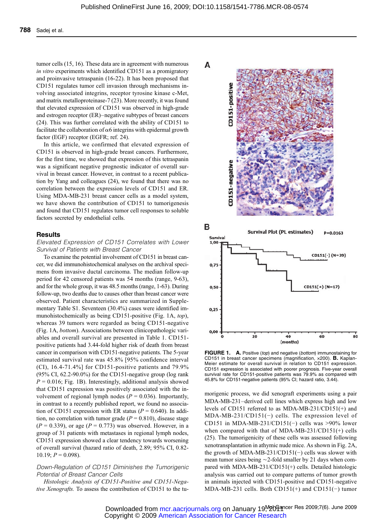tumor cells (15, 16). These data are in agreement with numerous in vitro experiments which identified CD151 as a promigratory and proinvasive tetraspanin (16-22). It has been proposed that CD151 regulates tumor cell invasion through mechanisms involving associated integrins, receptor tyrosine kinase c-Met, and matrix metalloproteinase-7 (23). More recently, it was found that elevated expression of CD151 was observed in high-grade and estrogen receptor (ER)–negative subtypes of breast cancers (24). This was further correlated with the ability of CD151 to facilitate the collaboration of  $\alpha$ 6 integrins with epidermal growth factor (EGF) receptor (EGFR; ref. 24).

In this article, we confirmed that elevated expression of CD151 is observed in high-grade breast cancers. Furthermore, for the first time, we showed that expression of this tetraspanin was a significant negative prognostic indicator of overall survival in breast cancer. However, in contrast to a recent publication by Yang and colleagues (24), we found that there was no correlation between the expression levels of CD151 and ER. Using MDA-MB-231 breast cancer cells as a model system, we have shown the contribution of CD151 to tumorigenesis and found that CD151 regulates tumor cell responses to soluble factors secreted by endothelial cells.

## **Results**

Elevated Expression of CD151 Correlates with Lower Survival of Patients with Breast Cancer

To examine the potential involvement of CD151 in breast cancer, we did immunohistochemical analyses on the archival specimens from invasive ductal carcinoma. The median follow-up period for 42 censored patients was 54 months (range, 9-63), and for the whole group, it was 48.5 months (range, 1-63). During follow-up, two deaths due to causes other than breast cancer were observed. Patient characteristics are summarized in Supplementary Table S1. Seventeen (30.4%) cases were identified immunohistochemically as being CD151-positive (Fig. 1A, top), whereas 39 tumors were regarded as being CD151-negative (Fig. 1A, bottom). Associations between clinicopathologic variables and overall survival are presented in Table 1. CD151 positive patients had 3.44-fold higher risk of death from breast cancer in comparison with CD151-negative patients. The 5-year estimated survival rate was 45.8% [95% confidence interval (CI), 16.4-71.4%] for CD151-positive patients and 79.9% (95% CI, 62.2-90.0%) for the CD151-negative group (log rank  $P = 0.016$ ; Fig. 1B). Interestingly, additional analysis showed that CD151 expression was positively associated with the involvement of regional lymph nodes ( $P = 0.036$ ). Importantly, in contrast to a recently published report, we found no association of CD151 expression with ER status ( $P = 0.640$ ). In addition, no correlation with tumor grade ( $P = 0.810$ ), disease stage  $(P = 0.339)$ , or age  $(P = 0.773)$  was observed. However, in a group of 31 patients with metastases in regional lymph nodes, CD151 expression showed a clear tendency towards worsening of overall survival (hazard ratio of death, 2.89; 95% CI, 0.82-  $10.19; P = 0.098$ ).

# Down-Regulation of CD151 Diminishes the Tumorigenic Potential of Breast Cancer Cells

Histologic Analysis of CD151-Positive and CD151-Negative Xenografts. To assess the contribution of CD151 to the tu-





FIGURE 1. A. Positive (top) and negative (bottom) immunostaining for CD151 in breast cancer specimens (magnification,  $\times$ 200). **B.** Kaplan-Meier estimate for overall survival in relation to CD151 expression. CD151 expression is associated with poorer prognosis. Five-year overall survival rate for CD151-positive patients was 79.9% as compared with 45.8% for CD151-negative patients (95% CI; hazard ratio, 3.44).

morigenic process, we did xenograft experiments using a pair MDA-MB-231–derived cell lines which express high and low levels of CD151 referred to as MDA-MB-231/CD151(+) and MDA-MB-231/CD151(−) cells. The expression level of CD151 in MDA-MB-231/CD151(−) cells was >90% lower when compared with that of MDA-MB-231/CD151(+) cells (25). The tumorigenicity of these cells was assessed following xenotransplantation in athymic nude mice. As shown in Fig. 2A, the growth of MDA-MB-231/CD151(−) cells was slower with mean tumor sizes being ∼2-fold smaller by 21 days when compared with MDA-MB-231/CD151(+) cells. Detailed histologic analysis was carried out to compare patterns of tumor growth in animals injected with CD151-positive and CD151-negative MDA-MB-231 cells. Both CD151(+) and CD151(−) tumor

A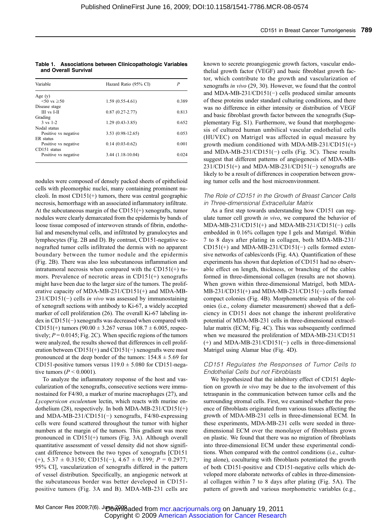#### Table 1. Associations between Clinicopathologic Variables and Overall Survival

| Variable              | Hazard Ratio (95% CI) | $\boldsymbol{P}$ |
|-----------------------|-----------------------|------------------|
| Age $(y)$             |                       |                  |
| $50 \text{ vs } 50$   | $1.59(0.55-4.61)$     | 0.389            |
| Disease stage         |                       |                  |
| $III$ vs $I-II$       | $0.87(0.27-2.77)$     | 0.813            |
| Grading               |                       |                  |
| $3 \text{ vs } 1 - 2$ | $1.29(0.43-3.85)$     | 0.652            |
| Nodal status          |                       |                  |
| Positive vs negative  | $3.53(0.98-12.65)$    | 0.053            |
| ER status             |                       |                  |
| Positive vs negative  | $0.14(0.03-0.62)$     | 0.001            |
| CD151 status          |                       |                  |
| Positive vs negative  | $3.44(1.18-10.04)$    | 0.024            |

nodules were composed of densely packed sheets of epithelioid cells with pleomorphic nuclei, many containing prominent nucleoli. In most CD151(+) tumors, there was central geographic necrosis, hemorrhage with an associated inflammatory infiltrate. At the subcutaneous margin of the CD151(+) xenografts, tumor nodules were clearly demarcated from the epidermis by bands of loose tissue composed of interwoven strands of fibrin, endothelial and mesenchymal cells, and infiltrated by granulocytes and lymphocytes (Fig. 2B and D). By contrast, CD151-negative xenografted tumor cells infiltrated the dermis with no apparent boundary between the tumor nodule and the epidermis (Fig. 2B). There was also less subcutaneous inflammation and intratumoral necrosis when compared with the CD151(+) tumors. Prevalence of necrotic areas in CD151(+) xenografts might have been due to the larger size of the tumors. The proliferative capacity of MDA-MB-231/CD151(+) and MDA-MB-231/CD151(−) cells in vivo was assessed by immunostaining of xenograft sections with antibody to Ki-67, a widely accepted marker of cell proliferation (26). The overall Ki-67 labeling index in CD151(−) xenografts was decreased when compared with CD151(+) tumors (90.00  $\pm$  3.267 versus 108.7  $\pm$  6.005, respectively;  $P = 0.0145$ ; Fig. 2C). When specific regions of the tumors were analyzed, the results showed that differences in cell proliferation between CD151(+) and CD151(−) xenografts were most pronounced at the deep border of the tumors:  $154.8 \pm 5.69$  for CD151-positive tumors versus  $119.0 \pm 5.080$  for CD151-negative tumors ( $P \le 0.0001$ ).

To analyze the inflammatory response of the host and vascularization of the xenografts, consecutive sections were immunostained for F4/80, a marker of murine macrophages (27), and Lycopersicon esculentum lectin, which reacts with murine endothelium (28), respectively. In both MDA-MB-231/CD151(+) and MDA-MB-231/CD151(−) xenografts, F4/80-expressing cells were found scattered throughout the tumor with higher numbers at the margin of the tumors. This gradient was more pronounced in CD151(+) tumors (Fig. 3A). Although overall quantitative assessment of vessel density did not show significant difference between the two types of xenografts [CD151 (+),  $5.37 \pm 0.3150$ ; CD151(−),  $4.67 \pm 0.199$ ;  $P = 0.2977$ ; 95% CI], vascularization of xenografts differed in the pattern of vessel distribution. Specifically, an angiogenic network at the subcutaneous border was better developed in CD151 positive tumors (Fig. 3A and B). MDA-MB-231 cells are

known to secrete proangiogenic growth factors, vascular endothelial growth factor (VEGF) and basic fibroblast growth factor, which contribute to the growth and vascularization of xenografts in vivo (29, 30). However, we found that the control and MDA-MB-231/CD151(−) cells produced similar amounts of these proteins under standard culturing conditions, and there was no difference in either intensity or distribution of VEGF and basic fibroblast growth factor between the xenografts (Supplementary Fig. S1). Furthermore, we found that morphogenesis of cultured human umbilical vascular endothelial cells (HUVEC) on Matrigel was affected in equal measure by growth medium conditioned with MDA-MB-231/CD151(+) and MDA-MB-231/CD151(−) cells (Fig. 3C). These results suggest that different patterns of angiogenesis of MDA-MB-231/CD151(+) and MDA-MB-231/CD151(−) xenografts are likely to be a result of differences in cooperation between growing tumor cells and the host microenvironment.

# The Role of CD151 in the Growth of Breast Cancer Cells in Three-dimensional Extracellular Matrix

As a first step towards understanding how CD151 can regulate tumor cell growth in vivo, we compared the behavior of MDA-MB-231/CD151(+) and MDA-MB-231/CD151(−) cells embedded in 0.16% collagen type I gels and Matrigel. Within 7 to 8 days after plating in collagen, both MDA-MB-231/ CD151(+) and MDA-MB-231/CD151(−) cells formed extensive networks of cables/cords (Fig. 4A). Quantification of these experiments has shown that depletion of CD151 had no observable effect on length, thickness, or branching of the cables formed in three-dimensional collagen (results are not shown). When grown within three-dimensional Matrigel, both MDA-MB-231/CD151(+) and MDA-MB-231/CD151(−) cells formed compact colonies (Fig. 4B). Morphometric analysis of the colonies (i.e., colony diameter measurement) showed that a deficiency in CD151 does not change the inherent proliferative potential of MDA-MB-231 cells in three-dimensional extracellular matrix (ECM; Fig. 4C). This was subsequently confirmed when we measured the proliferation of MDA-MB-231/CD151 (+) and MDA-MB-231/CD151(−) cells in three-dimensional Matrigel using Alamar blue (Fig. 4D).

# CD151 Regulates the Responses of Tumor Cells to Endothelial Cells but not Fibroblasts

We hypothesized that the inhibitory effect of CD151 depletion on growth in vivo may be due to the involvement of this tetraspanin in the communication between tumor cells and the surrounding stromal cells. First, we examined whether the presence of fibroblasts originated from various tissues affecting the growth of MDA-MB-231 cells in three-dimensional ECM. In these experiments, MDA-MB-231 cells were seeded in threedimensional ECM over the monolayer of fibroblasts grown on plastic. We found that there was no migration of fibroblasts into three-dimensional ECM under these experimental conditions. When compared with the control conditions (i.e., culturing alone), coculturing with fibroblasts potentiated the growth of both CD151-positive and CD151-negative cells which developed more elaborate networks of cables in three-dimensional collagen within 7 to 8 days after plating (Fig. 5A). The pattern of growth and various morphometric variables (e.g.,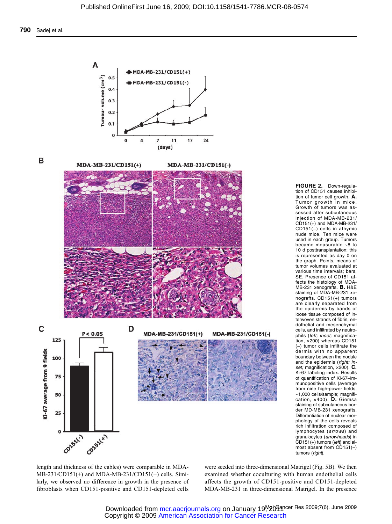





FIGURE 2. Down-regulation of CD151 causes inhibition of tumor cell growth. A. Tumor growth in mice. Growth of tumors was assessed after subcutaneous injection of MDA-MB-231/ CD151(+) and MDA-MB-231/ CD151(−) cells in athymic nude mice. Ten mice were used in each group. Tumors became measurable ∼8 to 10 d posttransplantation; this is represented as day 0 on the graph. Points, means of tumor volumes evaluated at various time intervals; bars, SE. Presence of CD151 affects the histology of MDA-MB-231 xenografts. **B.** H&E staining of MDA-MB-231 xenografts. CD151(+) tumors are clearly separated from the epidermis by bands of loose tissue composed of interwoven strands of fibrin, endothelial and mesenchymal cells, and infiltrated by neutrophils (left; inset; magnification, ×200) whereas CD151 (−) tumor cells infiltrate the dermis with no apparent boundary between the nodule and the epidermis (right; inset; magnification, x200). C. Ki-67 labeling index. Results of quantification of Ki-67–immunopositive cells (average from nine high-power fields, ∼1,000 cells/sample; magnifi-cation, ×400). D. Giemsa staining of subcutaneous border MD-MB-231xenografts. Differentiation of nuclear morphology of the cells reveals rich infiltration composed of lymphocytes (arrows) and granulocytes (*arrowheads*) in<br>CD151(+) tumors (*left*) and almost absent from CD151(−) tumors (right).

length and thickness of the cables) were comparable in MDA-MB-231/CD151(+) and MDA-MB-231/CD151(−) cells. Similarly, we observed no difference in growth in the presence of fibroblasts when CD151-positive and CD151-depleted cells

were seeded into three-dimensional Matrigel (Fig. 5B). We then examined whether coculturing with human endothelial cells affects the growth of CD151-positive and CD151-depleted MDA-MB-231 in three-dimensional Matrigel. In the presence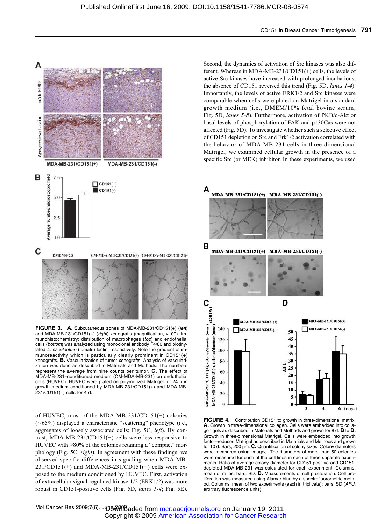

FIGURE 3. A. Subcutaneous zones of MDA-MB-231/CD151(+) (left) and MDA-MB-231/CD151(−) (right) xenografts (magnification, ×100). Immunohistochemistry: distribution of macrophages (top) and endothelial cells (bottom) was analyzed using monoclonal antibody F4/80 and biotinylated L. esculentum (tomato) lectin, respectively. Note the gradient of immunoreactivity which is particularly clearly prominent in CD151(+) xenografts. B. Vascularization of tumor xenografts. Analysis of vascularization was done as described in Materials and Methods. The numbers represent the average from nine counts per tumor. C. The effect of MDA-MB-231–conditioned medium (CM-MDA-MB-231) on endothelial cells (HUVEC). HUVEC were plated on polymerized Matrigel for 24 h in growth medium conditioned by MDA-MB-231/CD151(+) and MDA-MB-231/CD151(−) cells for 4 d.

of HUVEC, most of the MDA-MB-231/CD151(+) colonies (∼65%) displayed a characteristic "scattering" phenotype (i.e., aggregates of loosely associated cells; Fig. 5C, left). By contrast, MDA-MB-231/CD151(−) cells were less responsive to HUVEC with >80% of the colonies retaining a "compact" morphology (Fig. 5C, right). In agreement with these findings, we observed specific differences in signaling when MDA-MB-231/CD151(+) and MDA-MB-231/CD151(−) cells were exposed to the medium conditioned by HUVEC. First, activation of extracellular signal-regulated kinase-1/2 (ERK1/2) was more robust in CD151-positive cells (Fig. 5D, lanes 1-4; Fig. 5E).

Second, the dynamics of activation of Src kinases was also different. Whereas in MDA-MB-231/CD151(+) cells, the levels of active Src kinases have increased with prolonged incubations, the absence of CD151 reversed this trend (Fig. 5D, lanes 1-4). Importantly, the levels of active ERK1/2 and Src kinases were comparable when cells were plated on Matrigel in a standard growth medium (i.e., DMEM/10% fetal bovine serum; Fig. 5D, lanes 5-8). Furthermore, activation of PKB/c-Akt or basal levels of phosphorylation of FAK and p130Cas were not affected (Fig. 5D). To investigate whether such a selective effect of CD151 depletion on Src and Erk1/2 activation correlated with the behavior of MDA-MB-231 cells in three-dimensional Matrigel, we examined cellular growth in the presence of a specific Src (or MEK) inhibitor. In these experiments, we used



FIGURE 4. Contribution CD151 to growth in three-dimensional matrix. A. Growth in three-dimensional collagen. Cells were embedded into collagen gels as described in Materials and Methods and grown for 8 d. **B** to **D.**<br>Growth in three-dimensional Matrigel. Cells were embedded into growth factor–reduced Matrigel as described in Materials and Methods and grown for 10 d. Bars, 200 μm. C. Quantification of colony sizes. Colony diameters were measured using ImageJ. The diameters of more than 50 colonies were measured for each of the cell lines in each of three separate experiments. Ratio of average colony diameter for CD151-positive and CD151 depleted MDA-MB-231 was calculated for each experiment. Columns, mean of ratios; bars, SD. D. Measurements of cell proliferation. Cell proliferation was measured using Alamar blue by a spectrofluorometric method. Columns, mean of two experiments (each in triplicate); bars, SD (AFU, arbitrary fluorescence units).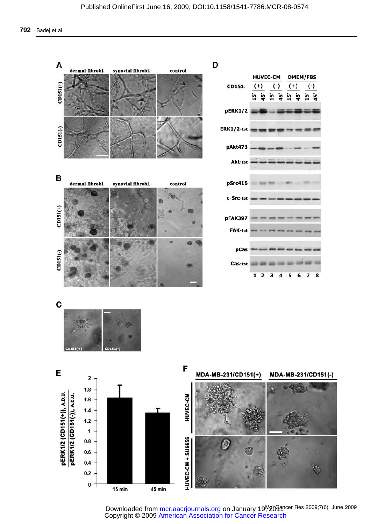

Downloaded from mcr.aacrjournals.org on January 19, D 20 ancer Res 2009;7(6). June 2009 Copyright © 2009 American Association for Cancer Research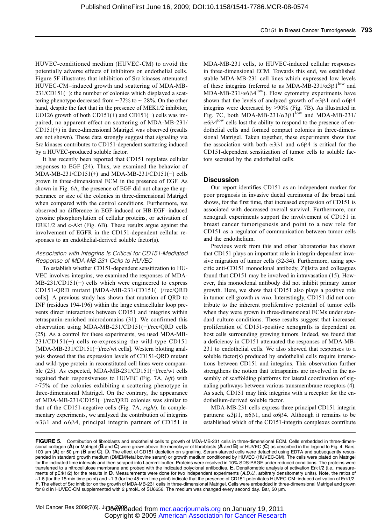HUVEC-conditioned medium (HUVEC-CM) to avoid the potentially adverse effects of inhibitors on endothelial cells. Figure 5F illustrates that inhibition of Src kinases attenuated HUVEC-CM–induced growth and scattering of MDA-MB-231/CD151(+): the number of colonies which displayed a scattering phenotype decreased from ∼72% to ∼ 28%. On the other hand, despite the fact that in the presence of MEK1/2 inhibitor, UO126 growth of both CD151(+) and CD151(−) cells was impaired, no apparent effect on scattering of MDA-MB-231/ CD151(+) in three-dimensional Matrigel was observed (results are not shown). These data strongly suggest that signaling via Src kinases contributes to CD151-dependent scattering induced by a HUVEC-produced soluble factor.

It has recently been reported that CD151 regulates cellular responses to EGF (24). Thus, we examined the behavior of MDA-MB-231/CD151(+) and MDA-MB-231/CD151(−) cells grown in three-dimensional ECM in the presence of EGF. As shown in Fig. 6A, the presence of EGF did not change the appearance or size of the colonies in three-dimensional Matrigel when compared with the control conditions. Furthermore, we observed no difference in EGF-induced or HB-EGF–induced tyrosine phosphorylation of cellular proteins, or activation of ERK1/2 and c-Akt (Fig. 6B). These results argue against the involvement of EGFR in the CD151-dependent cellular responses to an endothelial-derived soluble factor(s).

# Association with Integrins Is Critical for CD151-Mediated Response of MDA-MB-231 Cells to HUVEC

To establish whether CD151-dependent sensitization to HU-VEC involves integrins, we examined the responses of MDA-MB-231/CD151(−) cells which were engineered to express CD151-QRD mutant [MDA-MB-231/CD151(−)/rec/QRD cells]. A previous study has shown that mutation of QRD to INF (residues 194-196) within the large extracellular loop prevents direct interactions between CD151 and integrins within tetraspanin-enriched microdomains (31). We confirmed this observation using MDA-MB-231/CD151(−)/rec/QRD cells (25). As a control for these experiments, we used MDA-MB-231/CD151(−) cells re-expressing the wild-type CD151 [MDA-MB-231/CD151(−)/rec/wt cells]. Western blotting analysis showed that the expression levels of CD151-QRD mutant and wild-type protein in reconstituted cell lines were comparable (25). As expected, MDA-MB-231/CD151(−)/rec/wt cells regained their responsiveness to HUVEC (Fig. 7A, *left*) with >75% of the colonies exhibiting a scattering phenotype in three-dimensional Matrigel. On the contrary, the appearance of MDA-MB-231/CD151(−)/rec/QRD colonies was similar to that of the CD151-negative cells (Fig. 7A, right). In complementary experiments, we analyzed the contribution of integrins α3β1 and α6β4, principal integrin partners of CD151 in MDA-MB-231 cells, to HUVEC-induced cellular responses in three-dimensional ECM. Towards this end, we established stable MDA-MB-231 cell lines which expressed low levels of these integrins (referred to as MDA-MB-231/ $\alpha$ 3 $\beta$ 1<sup>low</sup> and MDA-MB-231/ $\alpha$ 6 $\beta$ 4<sup>low</sup>). Flow cytometry experiments have shown that the levels of analyzed growth of  $\alpha$ 3β1 and  $\alpha$ 6β4 integrins were decreased by >90% (Fig. 7B). As illustrated in Fig. 7C, both MDA-MB-231/ $\alpha$ 3 $\beta$ 1<sup>low</sup> and MDA-MB-231/  $\alpha$ 6β4<sup>low</sup> cells lost the ability to respond to the presence of endothelial cells and formed compact colonies in three-dimensional Matrigel. Taken together, these experiments show that the association with both  $\alpha$ 3β1 and  $\alpha$ 6β4 is critical for the CD151-dependent sensitization of tumor cells to soluble factors secreted by the endothelial cells.

# **Discussion**

Our report identifies CD151 as an independent marker for poor prognosis in invasive ductal carcinoma of the breast and shows, for the first time, that increased expression of CD151 is associated with decreased overall survival. Furthermore, our xenograft experiments support the involvement of CD151 in breast cancer tumorigenesis and point to a newrole for CD151 as a regulator of communication between tumor cells and the endothelium.

Previous work from this and other laboratories has shown that CD151 plays an important role in integrin-dependent invasive migration of tumor cells (32-34). Furthermore, using specific anti-CD151 monoclonal antibody, Zijlstra and colleagues found that CD151 may be involved in intravasation (15). However, this monoclonal antibody did not inhibit primary tumor growth. Here, we show that CD151 also plays a positive role in tumor cell growth in vivo. Interestingly, CD151 did not contribute to the inherent proliferative potential of tumor cells when they were grown in three-dimensional ECMs under standard culture conditions. These results suggest that increased proliferation of CD151-positive xenografts is dependent on host cells surrounding growing tumors. Indeed, we found that a deficiency in CD151 attenuated the responses of MDA-MB-231 to endothelial cells. We also showed that responses to a soluble factor(s) produced by endothelial cells require interactions between CD151 and integrins. This observation further strengthens the notion that tetraspanins are involved in the assembly of scaffolding platforms for lateral coordination of signaling pathways between various transmembrane receptors (4). As such, CD151 may link integrins with a receptor for the endothelium-derived soluble factor.

MDA-MB-231 cells express three principal CD151 integrin partners:  $\alpha$ 3β1,  $\alpha$ 6β1, and  $\alpha$ 6β4. Although it remains to be established which of the CD151-integrin complexes contribute

FIGURE 5. Contribution of fibroblasts and endothelial cells to growth of MDA-MB-231 cells in three-dimensional ECM. Cells embedded in three-dimensional collagen (A) or Matrigel (B and C) were grown above the monolayer of fibroblasts (A and B) or HUVEC (C) as described in the legend to Fig. 4. Bars, 100 μm (A) or 50 μm (B and C). D. The effect of CD151 depletion on signaling. Serum-starved cells were detached using EDTA and subsequently resuspended in standard growth medium (DMEM/fetal bovine serum) or growth medium conditioned by HUVEC (HUVEC-CM). The cells were plated on Matrigel<br>for the indicated time intervals and then scraped into Laemmli buffer. Proteins transferred to a nitrocellulose membrane and probed with the indicated polyclonal antibodies. E. Densitometric analysis of activation Erk1/2 (i.e., measurements of pErk1/2) for the results in D. Measurements were done for two independent experiments (A.D.U., arbitrary densitometry units). Note, the ratios of ∼1.6 (for the 15-min time point) and ∼1.3 (for the 45-min time point) indicate that the presence of CD151 potentiates HUVEC-CM–induced activation of Erk1/2. F. The effect of Src inhibitor on the growth of MDA-MB-231 cells in three-dimensional Matrigel. Cells were embedded in three-dimensional Matrigel and grown for 8 d in HUVEC-CM supplemented with 2 μmol/L of SU6656. The medium was changed every second day. Bar, 50 μm.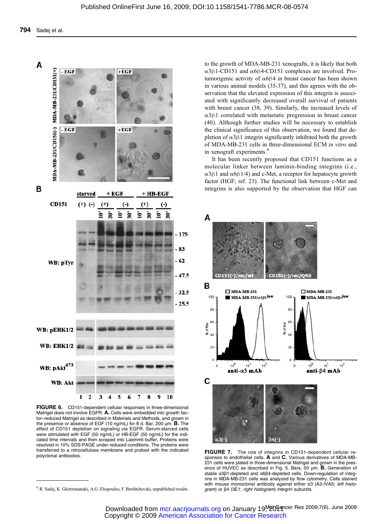

FIGURE 6. CD151-dependent cellular responses in three-dimensional Matrigel does not involve EGFR. A. Cells were embedded into growth factor–reduced Matrigel as described in Materials and Methods, and grown in the presence or absence of EGF (10 ng/mL) for 8 d. Bar, 200  $\mu$ m. **B.** The effect of CD151 depletion on signaling via EGFR. Serum-starved cells were stimulated with EGF (50 ng/mL) or HB-EGF (50 ng/mL) for the indicated time intervals and then scraped into Laemmli buffer. Proteins were resolved in 10% SDS-PAGE under reduced conditions. The proteins were transferred to a nitrocellulose membrane and probed with the indicated polyclonal antibodies.

<sup>8</sup> R. Sadej, K. Gkirtzimanaki, A.G. Eliopoulos, F. Berditchevski, unpublished results.

to the growth of MDA-MB-231 xenografts, it is likely that both α3β1-CD151 and α6β4-CD151 complexes are involved. Protumorigenic activity of α6β4 in breast cancer has been shown in various animal models (35-37), and this agrees with the observation that the elevated expression of this integrin is associated with significantly decreased overall survival of patients with breast cancer (38, 39). Similarly, the increased levels of α3β1 correlated with metastatic progression in breast cancer (40). Although further studies will be necessary to establish the clinical significance of this observation, we found that depletion of  $\alpha$ 3 $\beta$ 1 integrin significantly inhibited both the growth of MDA-MB-231 cells in three-dimensional ECM in vitro and in xenograft experiments.<sup>8</sup>

It has been recently proposed that CD151 functions as a molecular linker between laminin-binding integrins (i.e., α3β1 and α6β1/4) and c-Met, a receptor for hepatocyte growth factor (HGF; ref. 23). The functional link between c-Met and integrins is also supported by the observation that HGF can



FIGURE 7. The role of integrins in CD151-dependent cellular responses to endothelial cells. A and C. Various derivatives of MDA-MB-231cells were plated in three-dimensional Matrigel and grown in the presence of HUVEC as described in Fig. 5. Bars, 50 μm. B. Generation of stable α3β1-depleted and α6β4-depleted cells. Down-regulation of integrins in MDA-MB-231 cells was analyzed by flow cytometry. Cells stained with mouse monoclonal antibody against either α3 (A3-IVA5; left histogram) or β4 (3E1; right histogram) integrin subunits.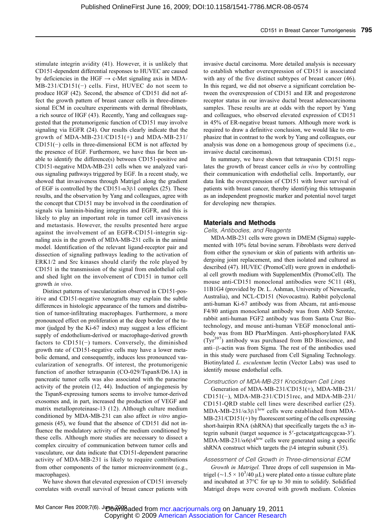stimulate integrin avidity (41). However, it is unlikely that CD151-dependent differential responses to HUVEC are caused by deficiencies in the HGF  $\rightarrow$  c-Met signaling axis in MDA-MB-231/CD151(−) cells. First, HUVEC do not seem to produce HGF (42). Second, the absence of CD151 did not affect the growth pattern of breast cancer cells in three-dimensional ECM in coculture experiments with dermal fibroblasts, a rich source of HGF (43). Recently, Yang and colleagues suggested that the protumorigenic function of CD151 may involve signaling via EGFR (24). Our results clearly indicate that the growth of MDA-MB-231/CD151(+) and MDA-MB-231/ CD151(−) cells in three-dimensional ECM is not affected by the presence of EGF. Furthermore, we have thus far been unable to identify the difference(s) between CD151-positive and CD151-negative MDA-MB-231 cells when we analyzed various signaling pathways triggered by EGF. In a recent study, we showed that invasiveness through Matrigel along the gradient of EGF is controlled by the CD151- $\alpha$ 3β1 complex (25). These results, and the observation by Yang and colleagues, agree with the concept that CD151 may be involved in the coordination of signals via laminin-binding integrins and EGFR, and this is likely to play an important role in tumor cell invasiveness and metastasis. However, the results presented here argue against the involvement of an EGFR-CD151-integrin signaling axis in the growth of MDA-MB-231 cells in the animal model. Identification of the relevant ligand-receptor pair and dissection of signaling pathways leading to the activation of ERK1/2 and Src kinases should clarify the role played by CD151 in the transmission of the signal from endothelial cells and shed light on the involvement of CD151 in tumor cell growth in vivo.

Distinct patterns of vascularization observed in CD151-positive and CD151-negative xenografts may explain the subtle differences in histologic appearance of the tumors and distribution of tumor-infiltrating macrophages. Furthermore, a more pronounced effect on proliferation at the deep border of the tumor (judged by the Ki-67 index) may suggest a less efficient supply of endothelium-derived or macrophage-derived growth factors to CD151(−) tumors. Conversely, the diminished growth rate of CD151-negative cells may have a lower metabolic demand, and consequently, induces less pronounced vascularization of xenografts. Of interest, the protumorigenic function of another tetraspanin (CO-029/Tspan8/D6.1A) in pancreatic tumor cells was also associated with the paracrine activity of the protein (12, 44). Induction of angiogenesis by the Tspan8-expressing tumors seems to involve tumor-derived exosomes and, in part, increased the production of VEGF and matrix metalloproteinase-13 (12). Although culture medium conditioned by MDA-MB-231 can also affect in vitro angiogenesis (45), we found that the absence of CD151 did not influence the modulatory activity of the medium conditioned by these cells. Although more studies are necessary to dissect a complex circuitry of communication between tumor cells and vasculature, our data indicate that CD151-dependent paracrine activity of MDA-MB-231 is likely to require contributions from other components of the tumor microenvironment (e.g., macrophages).

We have shown that elevated expression of CD151 inversely correlates with overall survival of breast cancer patients with invasive ductal carcinoma. More detailed analysis is necessary to establish whether overexpression of CD151 is associated with any of the five distinct subtypes of breast cancer (46). In this regard, we did not observe a significant correlation between the overexpression of CD151 and ER and progesterone receptor status in our invasive ductal breast adenocarcinoma samples. These results are at odds with the report by Yang and colleagues, who observed elevated expression of CD151 in 45% of ER-negative breast tumors. Although more work is required to draw a definitive conclusion, we would like to emphasize that in contrast to the work by Yang and colleagues, our analysis was done on a homogenous group of specimens (i.e., invasive ductal carcinomas).

In summary, we have shown that tetraspanin CD151 regulates the growth of breast cancer cells in vivo by controlling their communication with endothelial cells. Importantly, our data link the overexpression of CD151 with lower survival of patients with breast cancer, thereby identifying this tetraspanin as an independent prognostic marker and potential novel target for developing new therapies.

# Materials and Methods

#### Cells, Antibodies, and Reagents

MDA-MB-231 cells were grown in DMEM (Sigma) supplemented with 10% fetal bovine serum. Fibroblasts were derived from either the synovium or skin of patients with arthritis undergoing joint replacement, and then isolated and cultured as described (47). HUVEC (PromoCell) were grown in endothelial cell growth medium with SupplementMix (PromoCell). The mouse anti-CD151 monoclonal antibodies were 5C11 (48), 11B1G4 (provided by Dr. L. Ashman, University of Newcastle, Australia), and NCL-CD151 (Novocastra). Rabbit polyclonal anti-human Ki-67 antibody was from Abcam, rat anti-mouse F4/80 antigen monoclonal antibody was from AbD Serotec, rabbit anti-human FGF2 antibody was from Santa Cruz Biotechnology, and mouse anti-human VEGF monoclonal antibody was from BD PharMingen. Anti-phosphorylated FAK  $(Tyr<sup>397</sup>)$  antibody was purchased from BD Bioscience, and anti–β-actin was from Sigma. The rest of the antibodies used in this study were purchased from Cell Signaling Technology. Biotinylated L. esculentum lectin (Vector Labs) was used to identify mouse endothelial cells.

#### Construction of MDA-MB-231 Knockdown Cell Lines

Generation of MDA-MB-231/CD151(+), MDA-MB-231/ CD151(−), MDA-MB-231/CD151rec, and MDA-MB-231/ CD151-QRD stable cell lines were described earlier (25). MDA-MB-231/ $\alpha$ 3 $\beta$ 1<sup>low</sup> cells were established from MDA-MB-231/CD151(+) by fluorescent sorting of the cells expressing short-hairpin RNA (shRNA) that specifically targets the  $\alpha$ 3 integrin subunit (target sequence is 5'-gctacatgattcagcgcaa-3'). MDA-MB-231/ $\alpha$ 6 $\beta$ 4<sup>low</sup> cells were generated using a specific shRNA construct which targets the β4 integrin subunit (35).

#### Assessment of Cell Growth in Three-dimensional ECM

Growth in Matrigel. Three drops of cell suspension in Matrigel (~1.5 × 10<sup>3</sup>/40 μL) were plated onto a tissue culture plate and incubated at 37°C for up to 30 min to solidify. Solidified Matrigel drops were covered with growth medium. Colonies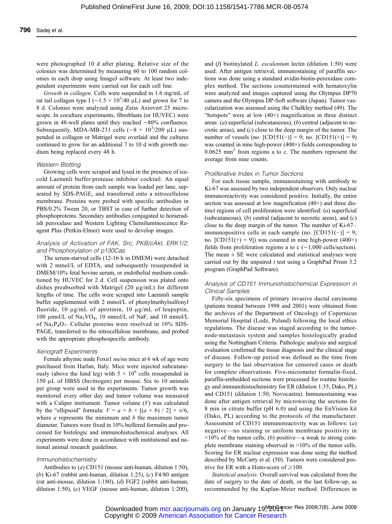were photographed 10 d after plating. Relative size of the colonies was determined by measuring 60 to 100 random colonies in each drop using ImageJ software. At least two independent experiments were carried out for each cell line.

Growth in collagen. Cells were suspended in 1.6 mg/mL of rat tail collagen type I (~1.5 × 10<sup>3</sup>/40 µL) and grown for 7 to 8 d. Colonies were analyzed using Zeiss Axiovert 25 microscope. In coculture experiments, fibroblasts (or HUVEC) were grown in 48-well plates until they reached ∼80% confluence. Subsequently, MDA-MB-231 cells ( $\sim 8 \times 10^3 / 200$  µL) suspended in collagen or Matrigel were overlaid and the cultures continued to grow for an additional 7 to 10 d with growth medium being replaced every 48 h.

#### Western Blotting

Growing cells were scraped and lysed in the presence of icecold Laemmli buffer/protease inhibitor cocktail. An equal amount of protein from each sample was loaded per lane, separated by SDS-PAGE, and transferred onto a nitrocellulose membrane. Proteins were probed with specific antibodies in PBS/0.2% Tween 20, or TBST in case of further detection of phosphoproteins. Secondary antibodies conjugated to horseradish peroxidase and Western Lighting Chemiluminescence Reagent Plus (Perkin-Elmer) were used to develop images.

# Analysis of Activation of FAK, Src, PKB/cAkt, ERK1/2, and Phosphorylation of p130Cas

The serum-starved cells (12-16 h in DMEM) were detached with 2 mmol/L of EDTA, and subsequently resuspended in DMEM/10% fetal bovine serum, or endothelial medium conditioned by HUVEC for 2 d. Cell suspension was plated onto dishes preabsorbed with Matrigel (20 μg/mL) for different lengths of time. The cells were scraped into Laemmli sample buffer supplemented with 2 mmol/L of phenylmethylsulfonyl fluoride, 10 μg/mL of aprotinin, 10 μg/mL of leupeptin, 100 μmol/L of Na3VO4, 10 mmol/L of NaF, and 10 mmol/L of Na<sub>3</sub>P<sub>4</sub>O<sub>7</sub>. Cellular proteins were resolved in 10% SDS-PAGE, transferred to the nitrocellulose membrane, and probed with the appropriate phosphospecific antibody.

#### Xenograft Experiments

Female athymic nude Foxn1  $nu/nu$  mice at 6 wk of age were purchased from Harlan, Italy. Mice were injected subcutaneously (above the hind leg) with  $5 \times 10^6$  cells resuspended in 150 μL of HBSS (Invitrogen) per mouse. Six to 10 animals per group were used in the experiments. Tumor growth was monitored every other day and tumor volume was measured with a Caliper instrument. Tumor volume  $(V)$  was calculated by the "ellipsoid" formula:  $V = a \times b \times [(a + b) / 2] \times \pi/6$ , where  $a$  represents the minimum and  $b$  the maximum tumor diameter. Tumors were fixed in 10% buffered formalin and processed for histologic and immunohistochemical analyses. All experiments were done in accordance with institutional and national animal research guidelines.

#### Immunohistochemistry

Antibodies to (a) CD151 (mouse anti-human, dilution 1:50), (b) Ki-67 (rabbit anti-human, dilution 1:25), (c)  $F4/80$  antigen (rat anti-mouse, dilution 1:180), (d) FGF2 (rabbit anti-human, dilution 1:50), (e) VEGF (mouse anti-human, dilution 1:200), and  $(f)$  biotinylated *L. esculentum* lectin (dilution 1:50) were used. After antigen retrieval, immunostaining of paraffin sections was done using a standard avidin-biotin-peroxidase complex method. The sections counterstained with hematoxylin were analyzed and images captured using the Olympus DP70 camera and the Olympus DP-Soft software (Japan). Tumor vascularization was assessed using the Chalkley method (49). The "hotspots" were at low  $(40\times)$  magnification in three distinct areas: (a) superficial (subcutaneous); (b) central (adjacent to necrotic areas), and  $(c)$  close to the deep margin of the tumor. The number of vessels (no.  $[CD151(-)] = 9$ ; no.  $[CD151(+)] = 9$ ) was counted in nine high-power (400×) fields corresponding to  $0.0625$  mm<sup>2</sup> from regions a to c. The numbers represent the average from nine counts.

#### Proliferative Index in Tumor Sections

For each tissue sample, immunostaining with antibody to Ki-67 was assessed by two independent observers. Only nuclear immunoreactivity was considered positive. Initially, the entire section was assessed at low magnification (40×) and three distinct regions of cell proliferation were identified: (a) superficial (subcutaneous),  $(b)$  central (adjacent to necrotic areas), and  $(c)$ close to the deep margin of the tumor. The number of Ki-67– immunopositive cells in each sample (no.  $[CD151(-)] = 9$ ; no.  $[CD151(+) = 9]$ ) was counted in nine high-power (400×) fields from proliferation regions a to c (∼1,000 cells/section). The mean  $\pm$  SE were calculated and statistical analyses were carried out by the unpaired  $t$  test using a GraphPad Prism 3.2 program (GraphPad Software).

# Analysis of CD151 Immunohistochemical Expression in Clinical Samples

Fifty-six specimens of primary invasive ductal carcinoma (patients treated between 1998 and 2001) were obtained from the archives of the Department of Oncology of Copernicus Memorial Hospital (Lodz, Poland) following the local ethics regulations. The disease was staged according to the tumornode-metastasis system and samples histologically graded using the Nottingham Criteria. Pathologic analysis and surgical evaluation confirmed the tissue diagnosis and the clinical stage of disease. Follow-up period was defined as the time from surgery to the last observation for censored cases or death for complete observations. Five-micrometer formalin-fixed, paraffin-embedded sections were processed for routine histology and immunohistochemistry for ER (dilution 1:35; Dako, PL) and CD151 (dilution 1:50; Novocastra). Immunostaining was done after antigen retrieval by microwaving the sections for 8 min in citrate buffer (pH 6.0) and using the EnVision kit (Dako, PL) according to the protocols of the manufacturer. Assessment of CD151 immunoreactivity was as follows: (a) negative—no staining or uniform membrane positivity in  $\leq 10\%$  of the tumor cells; (b) positive—a weak to strong complete membrane staining observed in >10% of the tumor cells. Scoring for ER nuclear expression was done using the method described by McCarty et al. (50). Tumors were considered positive for ER with a Histo-score of  $\geq 100$ .

Statistical analysis. Overall survival was calculated from the date of surgery to the date of death, or the last follow-up, as recommended by the Kaplan-Meier method. Differences in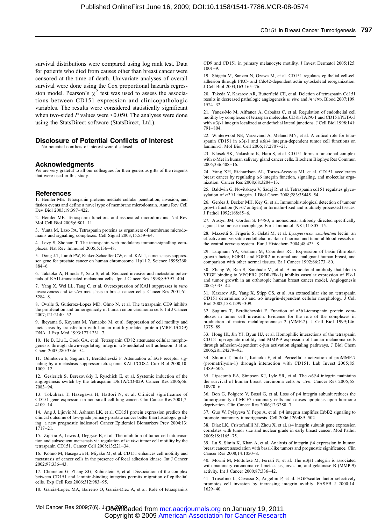survival distributions were compared using log rank test. Data for patients who died from causes other than breast cancer were censored at the time of death. Univariate analyses of overall survival were done using the Cox proportional hazards regression model. Pearson's  $\chi^2$  test was used to assess the associations between CD151 expression and clinicopathologic variables. The results were considered statistically significant when two-sided  $P$  values were <0.050. The analyses were done using the StatsDirect software (StatsDirect, Ltd.).

#### Disclosure of Potential Conflicts of Interest

No potential conflicts of interest were disclosed.

#### Acknowledgments

We are very grateful to all our colleagues for their generous gifts of the reagents that were used in this study.

#### References

1. Hemler ME. Tetraspanin proteins mediate cellular penetration, invasion, and fusion events and define a novel type of membrane microdomain. Annu Rev Cell Dev Biol 2003;19:397–422.

2. Hemler ME. Tetraspanin functions and associated microdomains. Nat Rev Mol Cell Biol 2005;6:801–11.

3. Yunta M, Lazo PA. Tetraspanin proteins as organisers of membrane microdomains and signalling complexes. Cell Signal 2003;15:559–64.

4. Levy S, Shoham T. The tetraspanin web modulates immune-signalling complexes. Nat Rev Immunol 2005;5:136–48.

5. Dong J-T, Lamb PW, Rinker-Schaeffer CW, et al. KAI 1, a metastasis suppressor gene for prostate cancer on human chromosome 11p11.2. Science 1995;268: 884–6.

6. Takaoka A, Hinoda Y, Sato S, et al. Reduced invasive and metastatic potentials of KAI1-transfected melanoma cells. Jpn J Cancer Res 1998;89:397–404.

7. Yang X, Wei LL, Tang C, et al. Overexpression of KAI1 suppresses in vitro invasiveness and in vivo metastasis in breast cancer cells. Cancer Res 2001;61: 5284–8.

8. Ovalle S, Gutierrez-Lopez MD, Olmo N, et al. The tetraspanin CD9 inhibits the proliferation and tumorigenicity of human colon carcinoma cells. Int J Cancer 2007;121:2140–52.

9. Ikeyama S, Koyama M, Yamaoko M, et al. Suppression of cell motility and metastasis by transfection with human motility-related protein (MRP-1/CD9) DNA. J Exp Med 1993;177:1231–7.

10. He B, Liu L, Cook GA, et al. Tetraspanin CD82 attenuates cellular morphogenesis through down-regulating integrin α6-mediated cell adhesion. J Biol Chem 2005;280:3346–54.

11. Odintsova E, Sugiura T, Berditchevski F. Attenuation of EGF receptor signaling by a metastasis suppressor tetraspanin KAI-1/CD82. Curr Biol 2000;10: 1009–12.

12. Gesierich S, Berezovskiy I, Ryschich E, et al. Systemic induction of the angiogenesis switch by the tetraspanin D6.1A/CO-029. Cancer Res 2006;66: 7083–94.

13. Tokuhara T, Hasegawa H, Hattori N, et al. Clinical significance of CD151 gene expression in non-small cell lung cancer. Clin Cancer Res 2001;7: 4109–14.

14. Ang J, Lijovic M, Ashman LK, et al. CD151 protein expression predicts the clinical outcome of low-grade primary prostate cancer better than histologic grading: a new prognostic indicator? Cancer Epidemiol Biomarkers Prev 2004;13: 1717–21.

15. Zijlstra A, Lewis J, Degryse B, et al. The inhibition of tumor cell intravasation and subsequent metastasis via regulation of in vivo tumor cell motility by the tetraspanin CD151. Cancer Cell 2008;13:221–34.

16. Kohno M, Hasegawa H, Miyake M, et al. CD151 enhances cell motility and metastasis of cancer cells in the presence of focal adhesion kinase. Int J Cancer 2002;97:336–43.

17. Chometon G, Zhang ZG, Rubinstein E, et al. Dissociation of the complex between CD151 and laminin-binding integrins permits migration of epithelial cells. Exp Cell Res 2006;312:983–95.

18. Garcia-Lopez MA, Barreiro O, Garcia-Diez A, et al. Role of tetraspanins

CD9 and CD151 in primary melanocyte motility. J Invest Dermatol 2005;125: 1001–9.

19. Shigeta M, Sanzen N, Ozawa M, et al. CD151 regulates epithelial cell-cell adhesion through PKC- and Cdc42-dependent actin cytoskeletal reorganization. J Cell Biol 2003;163:165–76.

20. Takeda Y, Kazarov AR, Butterfield CE, et al. Deletion of tetraspanin Cd151 results in decreased pathologic angiogenesis in vivo and in vitro. Blood 2007;109: 1524–32.

21. Yanez-Mo M, Alfranca A, Cabañas C, et al. Regulation of endothelial cell motility by complexes of tetraspan molecules CD81/TAPA-1 and CD151/PETA-3 with α3β1 integrin localized at endothelial lateral junctions. J Cell Biol 1998;141: 791–804.

22. Winterwood NE, Varzavand A, Meland MN, et al. A critical role for tetraspanin CD151 in  $\alpha$ 3β1 and  $\alpha$ 6β4 integrin-dependent tumor cell functions on laminin-5. Mol Biol Cell 2006;17:2707–21.

23. Klosek SK, Nakashiro K, Hara S, et al. CD151 forms a functional complex with c-Met in human salivary gland cancer cells. Biochem Biophys Res Commun 2005;336:408–16.

24. Yang XH, Richardson AL, Torres-Arzayus MI, et al. CD151 accelerates breast cancer by regulating α6 integrin function, signaling, and molecular organization. Cancer Res 2008;68:3204–13.

25. Baldwin G, Novitskaya V, Sadej R, et al. Tetraspanin cd151 regulates glycosylation of α3β1 integrin. J Biol Chem 2008;283:35445–54.

26. Gerdes J, Becker MH, Key G, et al. Immunohistological detection of tumour growth fraction (Ki-67 antigen) in formalin-fixed and routinely processed tissues. J Pathol 1992;168:85–6.

27. Austyn JM, Gordon S. F4/80, a monoclonal antibody directed specifically against the mouse macrophage. Eur J Immunol 1981;11:805–15.

28. Mazzetti S, Frigerio S, Gelati M, et al. Lycopersicon esculentum lectin: an effective and versatile endothelial marker of normal and tumoral blood vessels in the central nervous system. Eur J Histochem 2004;48:423–8.

29. Luqmani YA, Graham M, Coombes RC. Expression of basic fibroblast growth factor, FGFR1 and FGFR2 in normal and malignant human breast, and comparison with other normal tissues. Br J Cancer 1992;66:273–80.

30. Zhang W, Ran S, Sambade M, et al. A monoclonal antibody that blocks VEGF binding to VEGFR2 (KDR/Flk-1) inhibits vascular expression of Flk-1 and tumor growth in an orthotopic human breast cancer model. Angiogenesis 2002;5:35–44.

31. Kazarov AR, Yang X, Stipp CS, et al. An extracellular site on tetraspanin CD151 determines  $\alpha$ 3 and  $\alpha$ 6 integrin-dependent cellular morphology. J Cell Biol 2002;158:1299–309.

32. Sugiura T, Berditchevski F. Function of a3b1-tetraspanin protein complexes in tumor cell invasion. Evidence for the role of the complexes in production of matrix metalloproteinase 2 (MMP-2). J Cell Biol 1999;146: 1375–89.

33. Hong IK, Jin YJ, Byun HJ, et al. Homophilic interactions of the tetraspanin CD151 up-regulate motility and MMP-9 expression of human melanoma cells through adhesion-dependent c-jun activation signaling pathways. J Biol Chem 2006;281:24279–92.

34. Shiomi T, Inoki I, Kataoka F, et al. Pericellular activation of proMMP-7 (promatrilysin-1) through interaction with CD151. Lab Invest 2005;85: 1489–506.

35. Lipscomb EA, Simpson KJ, Lyle SR, et al. The  $\alpha$ 6 $\beta$ 4 integrin maintains the survival of human breast carcinoma cells in vivo. Cancer Res 2005;65: 10970–6.

36. Bon G, Folgiero V, Bossi G, et al. Loss of β4 integrin subunit reduces the tumorigenicity of MCF7 mammary cells and causes apoptosis upon hormone deprivation. Clin Cancer Res 2006;12:3280–7.

37. Guo W, Pylayeva Y, Pepe A, et al. β4 integrin amplifies ErbB2 signaling to promote mammary tumorigenesis. Cell 2006;126:489–502.

38. Diaz LK, Cristofanilli M, Zhou X, et al. β4 integrin subunit gene expression correlates with tumor size and nuclear grade in early breast cancer. Mod Pathol 2005;18:1165–75.

39. Lu S, Simin K, Khan A, et al. Analysis of integrin β4 expression in human breast cancer: association with basal-like tumors and prognostic significance. Clin Cancer Res 2008;14:1050–8.

40. Morini M, Mottolese M, Ferrari N, et al. The α3β1 integrin is associated with mammary carcinoma cell metastasis, invasion, and gelatinase B (MMP-9) activity. Int J Cancer 2000;87:336–42.

41. Trusolino L, Cavassa S, Angelini P, et al. HGF/scatter factor selectively promotes cell invasion by increasing integrin avidity. FASEB J 2000;14: 1629–40.